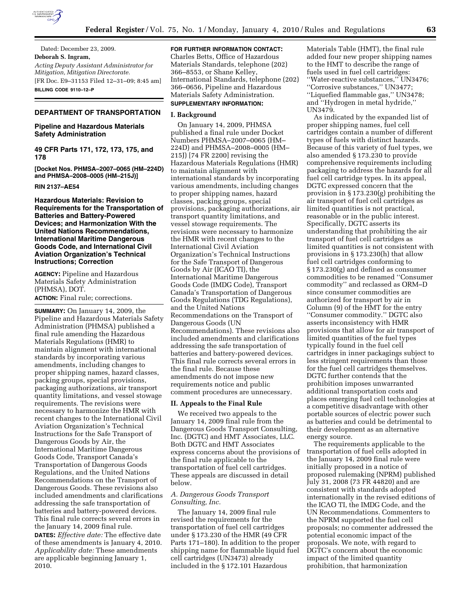

Dated: December 23, 2009. **Deborah S. Ingram,**  *Acting Deputy Assistant Administrator for Mitigation, Mitigation Directorate.*  [FR Doc. E9–31153 Filed 12–31–09; 8:45 am] **BILLING CODE 9110–12–P** 

# **DEPARTMENT OF TRANSPORTATION**

# **Pipeline and Hazardous Materials Safety Administration**

**49 CFR Parts 171, 172, 173, 175, and 178** 

**[Docket Nos. PHMSA–2007–0065 (HM–224D) and PHMSA–2008–0005 (HM–215J)]** 

# **RIN 2137–AE54**

**Hazardous Materials: Revision to Requirements for the Transportation of Batteries and Battery-Powered Devices; and Harmonization With the United Nations Recommendations, International Maritime Dangerous Goods Code, and International Civil Aviation Organization's Technical Instructions; Correction** 

**AGENCY:** Pipeline and Hazardous Materials Safety Administration (PHMSA), DOT.

**ACTION:** Final rule; corrections.

**SUMMARY:** On January 14, 2009, the Pipeline and Hazardous Materials Safety Administration (PHMSA) published a final rule amending the Hazardous Materials Regulations (HMR) to maintain alignment with international standards by incorporating various amendments, including changes to proper shipping names, hazard classes, packing groups, special provisions, packaging authorizations, air transport quantity limitations, and vessel stowage requirements. The revisions were necessary to harmonize the HMR with recent changes to the International Civil Aviation Organization's Technical Instructions for the Safe Transport of Dangerous Goods by Air, the International Maritime Dangerous Goods Code, Transport Canada's Transportation of Dangerous Goods Regulations, and the United Nations Recommendations on the Transport of Dangerous Goods. These revisions also included amendments and clarifications addressing the safe transportation of batteries and battery-powered devices. This final rule corrects several errors in the January 14, 2009 final rule.

**DATES:** *Effective date:* The effective date of these amendments is January 4, 2010. *Applicability date:* These amendments are applicable beginning January 1, 2010.

**FOR FURTHER INFORMATION CONTACT:**  Charles Betts, Office of Hazardous Materials Standards, telephone (202) 366–8553, or Shane Kelley, International Standards, telephone (202) 366–0656, Pipeline and Hazardous Materials Safety Administration. **SUPPLEMENTARY INFORMATION:** 

# **I. Background**

On January 14, 2009, PHMSA published a final rule under Docket Numbers PHMSA–2007–0065 (HM– 224D) and PHMSA–2008–0005 (HM– 215J) [74 FR 2200] revising the Hazardous Materials Regulations (HMR) to maintain alignment with international standards by incorporating various amendments, including changes to proper shipping names, hazard classes, packing groups, special provisions, packaging authorizations, air transport quantity limitations, and vessel stowage requirements. The revisions were necessary to harmonize the HMR with recent changes to the International Civil Aviation Organization's Technical Instructions for the Safe Transport of Dangerous Goods by Air (ICAO TI), the International Maritime Dangerous Goods Code (IMDG Code), Transport Canada's Transportation of Dangerous Goods Regulations (TDG Regulations), and the United Nations Recommendations on the Transport of Dangerous Goods (UN Recommendations). These revisions also included amendments and clarifications addressing the safe transportation of batteries and battery-powered devices. This final rule corrects several errors in the final rule. Because these amendments do not impose new requirements notice and public comment procedures are unnecessary.

#### **II. Appeals to the Final Rule**

We received two appeals to the January 14, 2009 final rule from the Dangerous Goods Transport Consulting, Inc. (DGTC) and HMT Associates, LLC. Both DGTC and HMT Associates express concerns about the provisions of the final rule applicable to the transportation of fuel cell cartridges. These appeals are discussed in detail below.

# *A. Dangerous Goods Transport Consulting, Inc.*

The January 14, 2009 final rule revised the requirements for the transportation of fuel cell cartridges under § 173.230 of the HMR (49 CFR Parts 171–180). In addition to the proper shipping name for flammable liquid fuel cell cartridges (UN3473) already included in the § 172.101 Hazardous

Materials Table (HMT), the final rule added four new proper shipping names to the HMT to describe the range of fuels used in fuel cell cartridges: ''Water-reactive substances,'' UN3476; ''Corrosive substances,'' UN3477; ''Liquefied flammable gas,'' UN3478; and ''Hydrogen in metal hydride,'' UN3479.

As indicated by the expanded list of proper shipping names, fuel cell cartridges contain a number of different types of fuels with distinct hazards. Because of this variety of fuel types, we also amended § 173.230 to provide comprehensive requirements including packaging to address the hazards for all fuel cell cartridge types. In its appeal, DGTC expressed concern that the provision in § 173.230(g) prohibiting the air transport of fuel cell cartridges as limited quantities is not practical, reasonable or in the public interest. Specifically, DGTC asserts its understanding that prohibiting the air transport of fuel cell cartridges as limited quantities is not consistent with provisions in § 173.230(h) that allow fuel cell cartridges conforming to § 173.230(g) and defined as consumer commodities to be renamed ''Consumer commodity'' and reclassed as ORM–D since consumer commodities are authorized for transport by air in Column (9) of the HMT for the entry ''Consumer commodity.'' DGTC also asserts inconsistency with HMR provisions that allow for air transport of limited quantities of the fuel types typically found in the fuel cell cartridges in inner packagings subject to less stringent requirements than those for the fuel cell cartridges themselves. DGTC further contends that the prohibition imposes unwarranted additional transportation costs and places emerging fuel cell technologies at a competitive disadvantage with other portable sources of electric power such as batteries and could be detrimental to their development as an alternative energy source.

The requirements applicable to the transportation of fuel cells adopted in the January 14, 2009 final rule were initially proposed in a notice of proposed rulemaking (NPRM) published July 31, 2008 (73 FR 44820) and are consistent with standards adopted internationally in the revised editions of the ICAO TI, the IMDG Code, and the UN Recommendations. Commenters to the NPRM supported the fuel cell proposals; no commenter addressed the potential economic impact of the proposals. We note, with regard to DGTC's concern about the economic impact of the limited quantity prohibition, that harmonization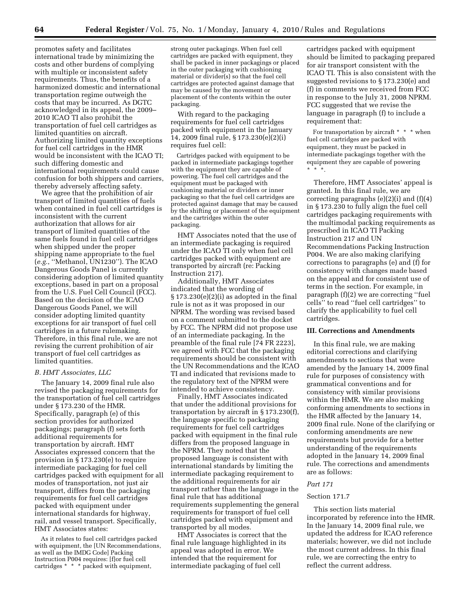promotes safety and facilitates international trade by minimizing the costs and other burdens of complying with multiple or inconsistent safety requirements. Thus, the benefits of a harmonized domestic and international transportation regime outweigh the costs that may be incurred. As DGTC acknowledged in its appeal, the 2009– 2010 ICAO TI also prohibit the transportation of fuel cell cartridges as limited quantities on aircraft. Authorizing limited quantity exceptions for fuel cell cartridges in the HMR would be inconsistent with the ICAO TI; such differing domestic and international requirements could cause confusion for both shippers and carriers, thereby adversely affecting safety.

We agree that the prohibition of air transport of limited quantities of fuels when contained in fuel cell cartridges is inconsistent with the current authorization that allows for air transport of limited quantities of the same fuels found in fuel cell cartridges when shipped under the proper shipping name appropriate to the fuel (*e.g.*, ''Methanol, UN1230''). The ICAO Dangerous Goods Panel is currently considering adoption of limited quantity exceptions, based in part on a proposal from the U.S. Fuel Cell Council (FCC). Based on the decision of the ICAO Dangerous Goods Panel, we will consider adopting limited quantity exceptions for air transport of fuel cell cartridges in a future rulemaking. Therefore, in this final rule, we are not revising the current prohibition of air transport of fuel cell cartridges as limited quantities.

### *B. HMT Associates, LLC*

The January 14, 2009 final rule also revised the packaging requirements for the transportation of fuel cell cartridges under § 173.230 of the HMR. Specifically, paragraph (e) of this section provides for authorized packagings; paragraph (f) sets forth additional requirements for transportation by aircraft. HMT Associates expressed concern that the provision in § 173.230(e) to require intermediate packaging for fuel cell cartridges packed with equipment for all modes of transportation, not just air transport, differs from the packaging requirements for fuel cell cartridges packed with equipment under international standards for highway, rail, and vessel transport. Specifically, HMT Associates states:

As it relates to fuel cell cartridges packed with equipment, the [UN Recommendations, as well as the IMDG Code] Packing Instruction P004 requires: [f]or fuel cell cartridges \* \* \* packed with equipment,

strong outer packagings. When fuel cell cartridges are packed with equipment, they shall be packed in inner packagings or placed in the outer packaging with cushioning material or divider(s) so that the fuel cell cartridges are protected against damage that may be caused by the movement or placement of the contents within the outer packaging.

With regard to the packaging requirements for fuel cell cartridges packed with equipment in the January 14, 2009 final rule, § 173.230(e)(2)(i) requires fuel cell:

Cartridges packed with equipment to be packed in intermediate packagings together with the equipment they are capable of powering. The fuel cell cartridges and the equipment must be packaged with cushioning material or dividers or inner packaging so that the fuel cell cartridges are protected against damage that may be caused by the shifting or placement of the equipment and the cartridges within the outer packaging.

HMT Associates noted that the use of an intermediate packaging is required under the ICAO TI only when fuel cell cartridges packed with equipment are transported by aircraft (re: Packing Instruction 217).

Additionally, HMT Associates indicated that the wording of  $\S 173.230(e)(2)(i)$  as adopted in the final rule is not as it was proposed in our NPRM. The wording was revised based on a comment submitted to the docket by FCC. The NPRM did not propose use of an intermediate packaging. In the preamble of the final rule [74 FR 2223], we agreed with FCC that the packaging requirements should be consistent with the UN Recommendations and the ICAO TI and indicated that revisions made to the regulatory text of the NPRM were intended to achieve consistency.

Finally, HMT Associates indicated that under the additional provisions for transportation by aircraft in § 173.230(f), the language specific to packaging requirements for fuel cell cartridges packed with equipment in the final rule differs from the proposed language in the NPRM. They noted that the proposed language is consistent with international standards by limiting the intermediate packaging requirement to the additional requirements for air transport rather than the language in the final rule that has additional requirements supplementing the general requirements for transport of fuel cell cartridges packed with equipment and transported by all modes.

HMT Associates is correct that the final rule language highlighted in its appeal was adopted in error. We intended that the requirement for intermediate packaging of fuel cell

cartridges packed with equipment should be limited to packaging prepared for air transport consistent with the ICAO TI. This is also consistent with the suggested revisions to § 173.230(e) and (f) in comments we received from FCC in response to the July 31, 2008 NPRM. FCC suggested that we revise the language in paragraph (f) to include a requirement that:

For transportation by aircraft \* \* \* when fuel cell cartridges are packed with equipment, they must be packed in intermediate packagings together with the equipment they are capable of powering \* \* \*.

Therefore, HMT Associates' appeal is granted. In this final rule, we are correcting paragraphs  $(e)(2)(i)$  and  $(f)(4)$ in § 173.230 to fully align the fuel cell cartridges packaging requirements with the multimodal packing requirements as prescribed in ICAO TI Packing Instruction 217 and UN Recommendations Packing Instruction P004. We are also making clarifying corrections to paragraphs (e) and (f) for consistency with changes made based on the appeal and for consistent use of terms in the section. For example, in paragraph (f)(2) we are correcting ''fuel cells'' to read ''fuel cell cartridges'' to clarify the applicability to fuel cell cartridges.

### **III. Corrections and Amendments**

In this final rule, we are making editorial corrections and clarifying amendments to sections that were amended by the January 14, 2009 final rule for purposes of consistency with grammatical conventions and for consistency with similar provisions within the HMR. We are also making conforming amendments to sections in the HMR affected by the January 14, 2009 final rule. None of the clarifying or conforming amendments are new requirements but provide for a better understanding of the requirements adopted in the January 14, 2009 final rule. The corrections and amendments are as follows:

#### *Part 171*

#### Section 171.7

This section lists material incorporated by reference into the HMR. In the January 14, 2009 final rule, we updated the address for ICAO reference materials; however, we did not include the most current address. In this final rule, we are correcting the entry to reflect the current address.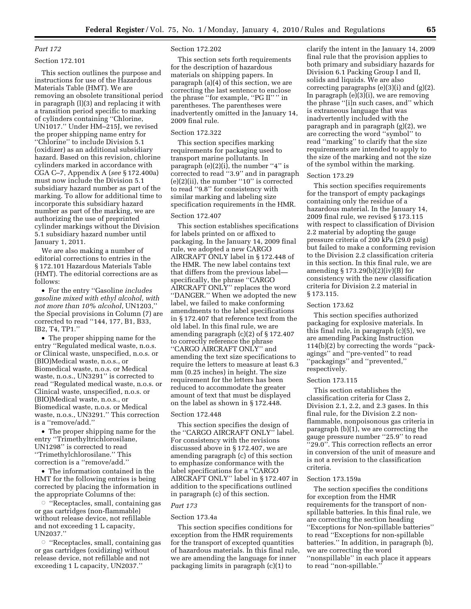# *Part 172*

# Section 172.101

This section outlines the purpose and instructions for use of the Hazardous Materials Table (HMT). We are removing an obsolete transitional period in paragraph (l)(3) and replacing it with a transition period specific to marking of cylinders containing ''Chlorine, UN1017.'' Under HM–215J, we revised the proper shipping name entry for ''Chlorine'' to include Division 5.1 (oxidizer) as an additional subsidiary hazard. Based on this revision, chlorine cylinders marked in accordance with CGA C–7, Appendix A (*see* § 172.400a) must now include the Division 5.1 subsidiary hazard number as part of the marking. To allow for additional time to incorporate this subsidiary hazard number as part of the marking, we are authorizing the use of preprinted cylinder markings without the Division 5.1 subsidiary hazard number until January 1, 2011.

We are also making a number of editorial corrections to entries in the § 172.101 Hazardous Materials Table (HMT). The editorial corrections are as follows:

• For the entry ''Gasoline *includes gasoline mixed with ethyl alcohol, with not more than 10% alcohol*, UN1203,'' the Special provisions in Column (7) are corrected to read ''144, 177, B1, B33, IB2, T4, TP1.''

• The proper shipping name for the entry ''Regulated medical waste, n.o.s. or Clinical waste, unspecified, n.o.s. or (BIO)Medical waste, n.o.s., or Biomedical waste, n.o.s. or Medical waste, n.o.s., UN3291'' is corrected to read ''Regulated medical waste, n.o.s. or Clinical waste, unspecified, n.o.s. or (BIO)Medical waste, n.o.s., or Biomedical waste, n.o.s. or Medical waste, n.o.s., UN3291.'' This correction is a ''remove/add.''

• The proper shipping name for the entry ''Trimethyltrichlorosilane, UN1298'' is corrected to read ''Trimethylchlorosilane.'' This correction is a ''remove/add.''

• The information contained in the HMT for the following entries is being corrected by placing the information in the appropriate Columns of the:

 $\circ$  "Receptacles, small, containing gas or gas cartridges (non-flammable) without release device, not refillable and not exceeding 1 L capacity, UN2037.''

 $\circ$  "Receptacles, small, containing gas or gas cartridges (oxidizing) without release device, not refillable and not exceeding 1 L capacity, UN2037.''

## Section 172.202

This section sets forth requirements for the description of hazardous materials on shipping papers. In paragraph (a)(4) of this section, we are correcting the last sentence to enclose the phrase "for example, "PG II"" in parentheses. The parentheses were inadvertently omitted in the January 14, 2009 final rule.

# Section 172.322

This section specifies marking requirements for packaging used to transport marine pollutants. In paragraph  $(e)(2)(i)$ , the number "4" is corrected to read ''3.9'' and in paragraph  $(e)(2)(ii)$ , the number "10" is corrected to read ''9.8'' for consistency with similar marking and labeling size specification requirements in the HMR.

#### Section 172.407

This section establishes specifications for labels printed on or affixed to packaging. In the January 14, 2009 final rule, we adopted a new CARGO AIRCRAFT ONLY label in § 172.448 of the HMR. The new label contains text that differs from the previous label specifically, the phrase ''CARGO AIRCRAFT ONLY'' replaces the word ''DANGER.'' When we adopted the new label, we failed to make conforming amendments to the label specifications in § 172.407 that reference text from the old label. In this final rule, we are amending paragraph (c)(2) of § 172.407 to correctly reference the phrase ''CARGO AIRCRAFT ONLY'' and amending the text size specifications to require the letters to measure at least 6.3 mm (0.25 inches) in height. The size requirement for the letters has been reduced to accommodate the greater amount of text that must be displayed on the label as shown in § 172.448.

#### Section 172.448

This section specifies the design of the ''CARGO AIRCRAFT ONLY'' label. For consistency with the revisions discussed above in § 172.407, we are amending paragraph (c) of this section to emphasize conformance with the label specifications for a ''CARGO AIRCRAFT ONLY'' label in § 172.407 in addition to the specifications outlined in paragraph (c) of this section.

#### *Part 173*

#### Section 173.4a

This section specifies conditions for exception from the HMR requirements for the transport of excepted quantities of hazardous materials. In this final rule, we are amending the language for inner packaging limits in paragraph (c)(1) to

clarify the intent in the January 14, 2009 final rule that the provision applies to both primary and subsidiary hazards for Division 6.1 Packing Group I and II, solids and liquids. We are also correcting paragraphs  $(e)(3)(i)$  and  $(g)(2)$ . In paragraph (e)(3)(i), we are removing the phrase ''[i]n such cases, and'' which is extraneous language that was inadvertently included with the paragraph and in paragraph (g)(2), we are correcting the word ''symbol'' to read ''marking'' to clarify that the size requirements are intended to apply to the size of the marking and not the size of the symbol within the marking.

#### Section 173.29

This section specifies requirements for the transport of empty packagings containing only the residue of a hazardous material. In the January 14, 2009 final rule, we revised § 173.115 with respect to classification of Division 2.2 material by adopting the gauge pressure criteria of 200 kPa (29.0 psig) but failed to make a conforming revision to the Division 2.2 classification criteria in this section. In this final rule, we are amending § 173.29(b)(2)(iv)(B) for consistency with the new classification criteria for Division 2.2 material in § 173.115.

# Section 173.62

This section specifies authorized packaging for explosive materials. In this final rule, in paragraph (c)(5), we are amending Packing Instruction 114(b)(2) by correcting the words ''packagings'' and ''pre-vented'' to read ''packagings'' and ''prevented,'' respectively.

#### Section 173.115

This section establishes the classification criteria for Class 2, Division 2.1, 2.2, and 2.3 gases. In this final rule, for the Division 2.2 nonflammable, nonpoisonous gas criteria in paragraph (b)(1), we are correcting the gauge pressure number ''25.9'' to read ''29.0''. This correction reflects an error in conversion of the unit of measure and is not a revision to the classification criteria.

#### Section 173.159a

The section specifies the conditions for exception from the HMR requirements for the transport of nonspillable batteries. In this final rule, we are correcting the section heading ''Exceptions for Non-spillable batteries'' to read ''Exceptions for non-spillable batteries.'' In addition, in paragraph (b), we are correcting the word ''nonspillable'' in each place it appears to read ''non-spillable.''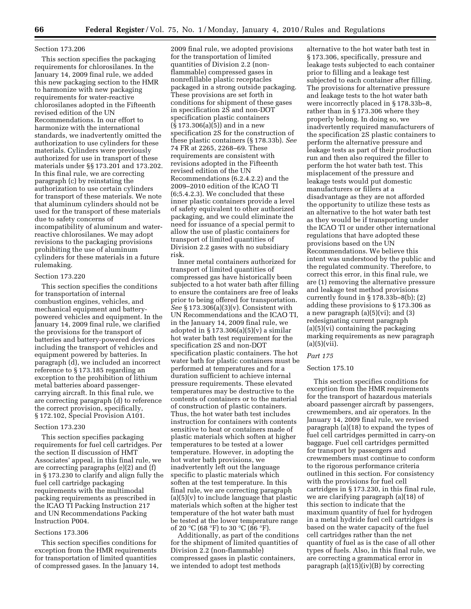#### Section 173.206

This section specifies the packaging requirements for chlorosilanes. In the January 14, 2009 final rule, we added this new packaging section to the HMR to harmonize with new packaging requirements for water-reactive chlorosilanes adopted in the Fifteenth revised edition of the UN Recommendations. In our effort to harmonize with the international standards, we inadvertently omitted the authorization to use cylinders for these materials. Cylinders were previously authorized for use in transport of these materials under §§ 173.201 and 173.202. In this final rule, we are correcting paragraph (c) by reinstating the authorization to use certain cylinders for transport of these materials. We note that aluminum cylinders should not be used for the transport of these materials due to safety concerns of incompatibility of aluminum and waterreactive chlorosilanes. We may adopt revisions to the packaging provisions prohibiting the use of aluminum cylinders for these materials in a future rulemaking.

## Section 173.220

This section specifies the conditions for transportation of internal combustion engines, vehicles, and mechanical equipment and batterypowered vehicles and equipment. In the January 14, 2009 final rule, we clarified the provisions for the transport of batteries and battery-powered devices including the transport of vehicles and equipment powered by batteries. In paragraph (d), we included an incorrect reference to § 173.185 regarding an exception to the prohibition of lithium metal batteries aboard passengercarrying aircraft. In this final rule, we are correcting paragraph (d) to reference the correct provision, specifically, § 172.102, Special Provision A101.

#### Section 173.230

This section specifies packaging requirements for fuel cell cartridges. Per the section II discussion of HMT Associates' appeal, in this final rule, we are correcting paragraphs (e)(2) and (f) in § 173.230 to clarify and align fully the fuel cell cartridge packaging requirements with the multimodal packing requirements as prescribed in the ICAO TI Packing Instruction 217 and UN Recommendations Packing Instruction P004.

#### Sections 173.306

This section specifies conditions for exception from the HMR requirements for transportation of limited quantities of compressed gases. In the January 14,

2009 final rule, we adopted provisions for the transportation of limited quantities of Division 2.2 (nonflammable) compressed gases in nonrefillable plastic receptacles packaged in a strong outside packaging. These provisions are set forth in conditions for shipment of these gases in specification 2S and non-DOT specification plastic containers (§ 173.306(a)(5)) and in a new specification 2S for the construction of these plastic containers (§ 178.33b). *See*  74 FR at 2265, 2268–69. These requirements are consistent with revisions adopted in the Fifteenth revised edition of the UN Recommendations (6.2.4.2.2) and the 2009–2010 edition of the ICAO TI (6;5.4.2.3). We concluded that these inner plastic containers provide a level of safety equivalent to other authorized packaging, and we could eliminate the need for issuance of a special permit to allow the use of plastic containers for transport of limited quantities of Division 2.2 gases with no subsidiary risk.

Inner metal containers authorized for transport of limited quantities of compressed gas have historically been subjected to a hot water bath after filling to ensure the containers are free of leaks prior to being offered for transportation. *See* § 173.306(a)(3)(v). Consistent with UN Recommendations and the ICAO TI, in the January 14, 2009 final rule, we adopted in  $\S 173.306(a)(5)(v)$  a similar hot water bath test requirement for the specification 2S and non-DOT specification plastic containers. The hot water bath for plastic containers must be performed at temperatures and for a duration sufficient to achieve internal pressure requirements. These elevated temperatures may be destructive to the contents of containers or to the material of construction of plastic containers. Thus, the hot water bath test includes instruction for containers with contents sensitive to heat or containers made of plastic materials which soften at higher temperatures to be tested at a lower temperature. However, in adopting the hot water bath provisions, we inadvertently left out the language specific to plastic materials which soften at the test temperature. In this final rule, we are correcting paragraph (a)(5)(v) to include language that plastic materials which soften at the higher test temperature of the hot water bath must be tested at the lower temperature range of 20 °C (68 °F) to 30 °C (86 °F).

Additionally, as part of the conditions for the shipment of limited quantities of Division 2.2 (non-flammable) compressed gases in plastic containers, we intended to adopt test methods

alternative to the hot water bath test in § 173.306, specifically, pressure and leakage tests subjected to each container prior to filling and a leakage test subjected to each container after filling. The provisions for alternative pressure and leakage tests to the hot water bath were incorrectly placed in § 178.33b–8, rather than in § 173.306 where they properly belong. In doing so, we inadvertently required manufacturers of the specification 2S plastic containers to perform the alternative pressure and leakage tests as part of their production run and then also required the filler to perform the hot water bath test. This misplacement of the pressure and leakage tests would put domestic manufacturers or fillers at a disadvantage as they are not afforded the opportunity to utilize these tests as an alternative to the hot water bath test as they would be if transporting under the ICAO TI or under other international regulations that have adopted these provisions based on the UN Recommendations. We believe this intent was understood by the public and the regulated community. Therefore, to correct this error, in this final rule, we are (1) removing the alternative pressure and leakage test method provisions currently found in § 178.33b–8(b); (2) adding these provisions to § 173.306 as a new paragraph (a)(5)(vi); and (3) redesignating current paragraph  $(a)(5)(vi)$  containing the packaging marking requirements as new paragraph  $(a)(5)(vii)$ .

# *Part 175*

# Section 175.10

This section specifies conditions for exception from the HMR requirements for the transport of hazardous materials aboard passenger aircraft by passengers, crewmembers, and air operators. In the January 14, 2009 final rule, we revised paragraph (a)(18) to expand the types of fuel cell cartridges permitted in carry-on baggage. Fuel cell cartridges permitted for transport by passengers and crewmembers must continue to conform to the rigorous performance criteria outlined in this section. For consistency with the provisions for fuel cell cartridges in § 173.230, in this final rule, we are clarifying paragraph (a)(18) of this section to indicate that the maximum quantity of fuel for hydrogen in a metal hydride fuel cell cartridges is based on the water capacity of the fuel cell cartridges rather than the net quantity of fuel as is the case of all other types of fuels. Also, in this final rule, we are correcting a grammatical error in paragraph  $(a)(15)(iv)(B)$  by correcting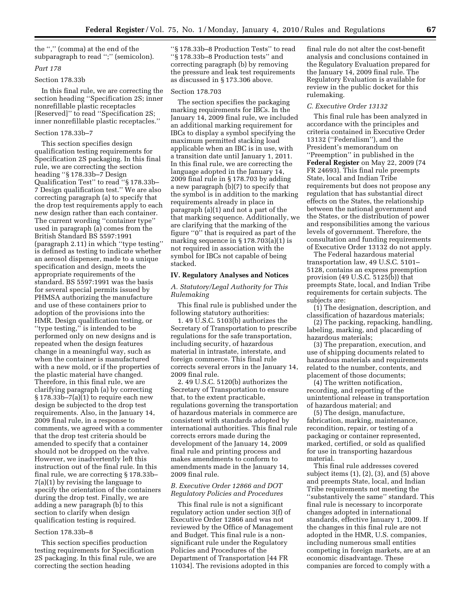the '','' (comma) at the end of the subparagraph to read '';'' (semicolon).

# *Part 178*

# Section 178.33b

In this final rule, we are correcting the section heading ''Specification 2S; inner nonrefillable plastic receptacles [Reserved]'' to read ''Specification 2S; inner nonrefillable plastic receptacles.''

#### Section 178.33b–7

This section specifies design qualification testing requirements for Specification 2S packaging. In this final rule, we are correcting the section heading ''§ 178.33b–7 Design Qualification Test'' to read ''§ 178.33b– 7 Design qualification test.'' We are also correcting paragraph (a) to specify that the drop test requirements apply to each new design rather than each container. The current wording ''container type'' used in paragraph (a) comes from the British Standard BS 5597:1991 (paragraph 2.11) in which ''type testing'' is defined as testing to indicate whether an aerosol dispenser, made to a unique specification and design, meets the appropriate requirements of the standard. BS 5597:1991 was the basis for several special permits issued by PHMSA authorizing the manufacture and use of these containers prior to adoption of the provisions into the HMR. Design qualification testing, or ''type testing,'' is intended to be performed only on new designs and is repeated when the design features change in a meaningful way, such as when the container is manufactured with a new mold, or if the properties of the plastic material have changed. Therefore, in this final rule, we are clarifying paragraph (a) by correcting  $§ 178.33b - 7(a)(1)$  to require each new design be subjected to the drop test requirements. Also, in the January 14, 2009 final rule, in a response to comments, we agreed with a commenter that the drop test criteria should be amended to specify that a container should not be dropped on the valve. However, we inadvertently left this instruction out of the final rule. In this final rule, we are correcting § 178.33b– 7(a)(1) by revising the language to specify the orientation of the containers during the drop test. Finally, we are adding a new paragraph (b) to this section to clarify when design qualification testing is required.

# Section 178.33b–8

This section specifies production testing requirements for Specification 2S packaging. In this final rule, we are correcting the section heading

''§ 178.33b–8 Production Tests'' to read ''§ 178.33b–8 Production tests'' and correcting paragraph (b) by removing the pressure and leak test requirements as discussed in § 173.306 above.

# Section 178.703

The section specifies the packaging marking requirements for IBCs. In the January 14, 2009 final rule, we included an additional marking requirement for IBCs to display a symbol specifying the maximum permitted stacking load applicable when an IBC is in use, with a transition date until January 1, 2011. In this final rule, we are correcting the language adopted in the January 14, 2009 final rule in § 178.703 by adding a new paragraph (b)(7) to specify that the symbol is in addition to the marking requirements already in place in paragraph (a)(1) and not a part of the that marking sequence. Additionally, we are clarifying that the marking of the figure ''0'' that is required as part of the marking sequence in § 178.703(a)(1) is not required in association with the symbol for IBCs not capable of being stacked.

#### **IV. Regulatory Analyses and Notices**

*A. Statutory/Legal Authority for This Rulemaking* 

This final rule is published under the following statutory authorities:

1. 49 U.S.C. 5103(b) authorizes the Secretary of Transportation to prescribe regulations for the safe transportation, including security, of hazardous material in intrastate, interstate, and foreign commerce. This final rule corrects several errors in the January 14, 2009 final rule.

2. 49 U.S.C. 5120(b) authorizes the Secretary of Transportation to ensure that, to the extent practicable, regulations governing the transportation of hazardous materials in commerce are consistent with standards adopted by international authorities. This final rule corrects errors made during the development of the January 14, 2009 final rule and printing process and makes amendments to conform to amendments made in the January 14, 2009 final rule.

# *B. Executive Order 12866 and DOT Regulatory Policies and Procedures*

This final rule is not a significant regulatory action under section 3(f) of Executive Order 12866 and was not reviewed by the Office of Management and Budget. This final rule is a nonsignificant rule under the Regulatory Policies and Procedures of the Department of Transportation [44 FR 11034]. The revisions adopted in this

final rule do not alter the cost-benefit analysis and conclusions contained in the Regulatory Evaluation prepared for the January 14, 2009 final rule. The Regulatory Evaluation is available for review in the public docket for this rulemaking.

#### *C. Executive Order 13132*

This final rule has been analyzed in accordance with the principles and criteria contained in Executive Order 13132 (''Federalism''), and the President's memorandum on ''Preemption'' in published in the **Federal Register** on May 22, 2009 (74 FR 24693). This final rule preempts State, local and Indian Tribe requirements but does not propose any regulation that has substantial direct effects on the States, the relationship between the national government and the States, or the distribution of power and responsibilities among the various levels of government. Therefore, the consultation and funding requirements of Executive Order 13132 do not apply.

The Federal hazardous material transportation law, 49 U.S.C. 5101– 5128, contains an express preemption provision (49 U.S.C. 5125(b)) that preempts State, local, and Indian Tribe requirements for certain subjects. The subjects are:

(1) The designation, description, and classification of hazardous materials;

(2) The packing, repacking, handling, labeling, marking, and placarding of hazardous materials;

(3) The preparation, execution, and use of shipping documents related to hazardous materials and requirements related to the number, contents, and placement of those documents;

(4) The written notification, recording, and reporting of the unintentional release in transportation of hazardous material; and

(5) The design, manufacture, fabrication, marking, maintenance, recondition, repair, or testing of a packaging or container represented, marked, certified, or sold as qualified for use in transporting hazardous material.

This final rule addresses covered subject items (1), (2), (3), and (5) above and preempts State, local, and Indian Tribe requirements not meeting the ''substantively the same'' standard. This final rule is necessary to incorporate changes adopted in international standards, effective January 1, 2009. If the changes in this final rule are not adopted in the HMR, U.S. companies, including numerous small entities competing in foreign markets, are at an economic disadvantage. These companies are forced to comply with a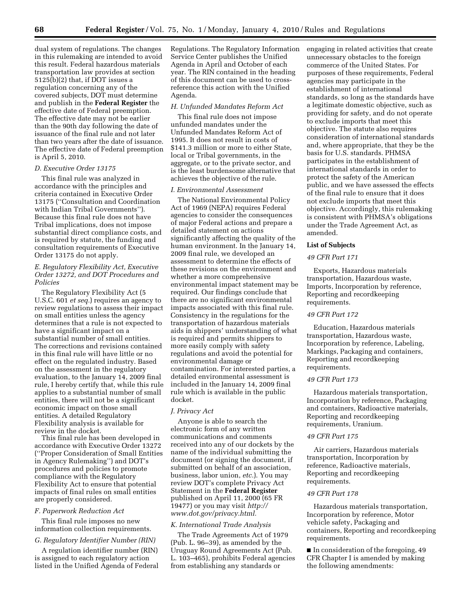dual system of regulations. The changes in this rulemaking are intended to avoid this result. Federal hazardous materials transportation law provides at section 5125(b)(2) that, if DOT issues a regulation concerning any of the covered subjects, DOT must determine and publish in the **Federal Register** the effective date of Federal preemption. The effective date may not be earlier than the 90th day following the date of issuance of the final rule and not later than two years after the date of issuance. The effective date of Federal preemption is April 5, 2010.

## *D. Executive Order 13175*

This final rule was analyzed in accordance with the principles and criteria contained in Executive Order 13175 (''Consultation and Coordination with Indian Tribal Governments''). Because this final rule does not have Tribal implications, does not impose substantial direct compliance costs, and is required by statute, the funding and consultation requirements of Executive Order 13175 do not apply.

# *E. Regulatory Flexibility Act, Executive Order 13272, and DOT Procedures and Policies*

The Regulatory Flexibility Act (5 U.S.C. 601 *et seq.*) requires an agency to review regulations to assess their impact on small entities unless the agency determines that a rule is not expected to have a significant impact on a substantial number of small entities. The corrections and revisions contained in this final rule will have little or no effect on the regulated industry. Based on the assessment in the regulatory evaluation, to the January 14, 2009 final rule, I hereby certify that, while this rule applies to a substantial number of small entities, there will not be a significant economic impact on those small entities. A detailed Regulatory Flexibility analysis is available for review in the docket.

This final rule has been developed in accordance with Executive Order 13272 (''Proper Consideration of Small Entities in Agency Rulemaking'') and DOT's procedures and policies to promote compliance with the Regulatory Flexibility Act to ensure that potential impacts of final rules on small entities are properly considered.

### *F. Paperwork Reduction Act*

This final rule imposes no new information collection requirements.

# *G. Regulatory Identifier Number (RIN)*

A regulation identifier number (RIN) is assigned to each regulatory action listed in the Unified Agenda of Federal Regulations. The Regulatory Information Service Center publishes the Unified Agenda in April and October of each year. The RIN contained in the heading of this document can be used to crossreference this action with the Unified Agenda.

#### *H. Unfunded Mandates Reform Act*

This final rule does not impose unfunded mandates under the Unfunded Mandates Reform Act of 1995. It does not result in costs of \$141.3 million or more to either State, local or Tribal governments, in the aggregate, or to the private sector, and is the least burdensome alternative that achieves the objective of the rule.

# *I. Environmental Assessment*

The National Environmental Policy Act of 1969 (NEPA) requires Federal agencies to consider the consequences of major Federal actions and prepare a detailed statement on actions significantly affecting the quality of the human environment. In the January 14, 2009 final rule, we developed an assessment to determine the effects of these revisions on the environment and whether a more comprehensive environmental impact statement may be required. Our findings conclude that there are no significant environmental impacts associated with this final rule. Consistency in the regulations for the transportation of hazardous materials aids in shippers' understanding of what is required and permits shippers to more easily comply with safety regulations and avoid the potential for environmental damage or contamination. For interested parties, a detailed environmental assessment is included in the January 14, 2009 final rule which is available in the public docket.

#### *J. Privacy Act*

Anyone is able to search the electronic form of any written communications and comments received into any of our dockets by the name of the individual submitting the document (or signing the document, if submitted on behalf of an association, business, labor union, *etc.*). You may review DOT's complete Privacy Act Statement in the **Federal Register**  published on April 11, 2000 (65 FR 19477) or you may visit *http:// www.dot.gov/privacy.html.* 

## *K. International Trade Analysis*

The Trade Agreements Act of 1979 (Pub. L. 96–39), as amended by the Uruguay Round Agreements Act (Pub. L. 103–465), prohibits Federal agencies from establishing any standards or

engaging in related activities that create unnecessary obstacles to the foreign commerce of the United States. For purposes of these requirements, Federal agencies may participate in the establishment of international standards, so long as the standards have a legitimate domestic objective, such as providing for safety, and do not operate to exclude imports that meet this objective. The statute also requires consideration of international standards and, where appropriate, that they be the basis for U.S. standards. PHMSA participates in the establishment of international standards in order to protect the safety of the American public, and we have assessed the effects of the final rule to ensure that it does not exclude imports that meet this objective. Accordingly, this rulemaking is consistent with PHMSA's obligations under the Trade Agreement Act, as amended.

### **List of Subjects**

# *49 CFR Part 171*

Exports, Hazardous materials transportation, Hazardous waste, Imports, Incorporation by reference, Reporting and recordkeeping requirements.

## *49 CFR Part 172*

Education, Hazardous materials transportation, Hazardous waste, Incorporation by reference, Labeling, Markings, Packaging and containers, Reporting and recordkeeping requirements.

# *49 CFR Part 173*

Hazardous materials transportation, Incorporation by reference, Packaging and containers, Radioactive materials, Reporting and recordkeeping requirements, Uranium.

# *49 CFR Part 175*

Air carriers, Hazardous materials transportation, Incorporation by reference, Radioactive materials, Reporting and recordkeeping requirements.

# *49 CFR Part 178*

Hazardous materials transportation, Incorporation by reference, Motor vehicle safety, Packaging and containers, Reporting and recordkeeping requirements.

■ In consideration of the foregoing, 49 CFR Chapter I is amended by making the following amendments: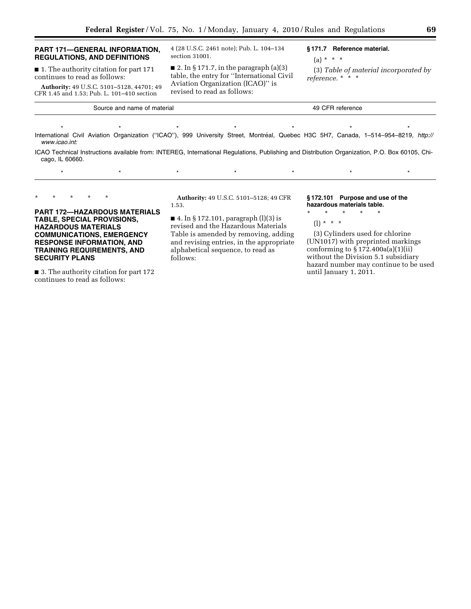| <b>PART 171-GENERAL INFORMATION.</b><br><b>REGULATIONS, AND DEFINITIONS</b>                                                                                          | 4 (28 U.S.C. 2461 note); Pub. L. 104–134<br>section 31001.                                                                                                            | §171.7 Reference material.<br>$(a) * * * *$                     |  |  |
|----------------------------------------------------------------------------------------------------------------------------------------------------------------------|-----------------------------------------------------------------------------------------------------------------------------------------------------------------------|-----------------------------------------------------------------|--|--|
| ■ 1. The authority citation for part 171<br>continues to read as follows:<br>Authority: 49 U.S.C. 5101-5128, 44701; 49<br>CFR 1.45 and 1.53; Pub. L. 101-410 section | $\blacksquare$ 2. In § 171.7, in the paragraph (a)(3)<br>table, the entry for "International Civil<br>Aviation Organization (ICAO)" is<br>revised to read as follows: | (3) Table of material incorporated by<br>reference. $*$ $*$ $*$ |  |  |
| Source and name of material                                                                                                                                          | 49 CFR reference                                                                                                                                                      |                                                                 |  |  |

\* \* \* \* \* \* \* \* \* \* \* \* \* \* \* International Civil Aviation Organization ("ICAO"), 999 University Street, Montréal, Quebec H3C 5H7, Canada, 1–514–954–8219, *http:// www.icao.int:* 

ICAO Technical Instructions available from: INTEREG, International Regulations, Publishing and Distribution Organization, P.O. Box 60105, Chicago, IL 60660.

\* \* \* \* \* \* \* \* \* \* \* \* \*

\* \* \* \* \*

# **PART 172—HAZARDOUS MATERIALS TABLE, SPECIAL PROVISIONS, HAZARDOUS MATERIALS COMMUNICATIONS, EMERGENCY RESPONSE INFORMATION, AND TRAINING REQUIREMENTS, AND SECURITY PLANS**

■ 3. The authority citation for part 172 continues to read as follows:

**Authority:** 49 U.S.C. 5101–5128; 49 CFR 1.53.

■ 4. In § 172.101, paragraph (l)(3) is revised and the Hazardous Materials Table is amended by removing, adding and revising entries, in the appropriate alphabetical sequence, to read as follows:

**§ 172.101 Purpose and use of the hazardous materials table.** 

# \* \* \* \* \*

(l) \* \* \*

(3) Cylinders used for chlorine (UN1017) with preprinted markings conforming to  $\S 172.400a(a)(1)(ii)$ without the Division 5.1 subsidiary hazard number may continue to be used until January 1, 2011.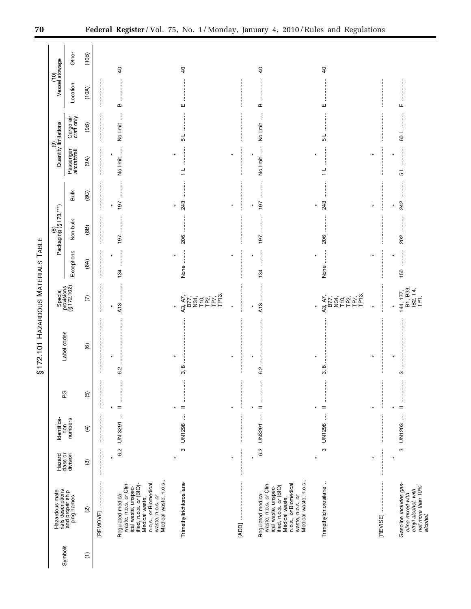|                 |                                                                                                                                                                                                                                                                                                                                                                                                                                                     |                                | Identifica-               |                                          | ŋ                          |                                                                                                                                      |                    | (8)<br>Packaging (§ 173.***) |                                    |                            | Quantity limitations<br>ම | (10)<br>Vessel stowage                    |                 |
|-----------------|-----------------------------------------------------------------------------------------------------------------------------------------------------------------------------------------------------------------------------------------------------------------------------------------------------------------------------------------------------------------------------------------------------------------------------------------------------|--------------------------------|---------------------------|------------------------------------------|----------------------------|--------------------------------------------------------------------------------------------------------------------------------------|--------------------|------------------------------|------------------------------------|----------------------------|---------------------------|-------------------------------------------|-----------------|
| Symbols         | Hazardous mate<br>rials descriptions<br>and proper ship<br>ping names                                                                                                                                                                                                                                                                                                                                                                               | Hazard<br>class or<br>division | tion<br>numbers           | PG                                       | Label codes                | Special<br>provisions<br>(§ 172.102)                                                                                                 | Exceptions         | Non-bulk                     | <b>Bulk</b>                        | Passenger<br>aircraft/rail | Cargo air<br>craft only   | Location                                  | Other           |
| $\widehat{\Xi}$ | $\widehat{\omega}$                                                                                                                                                                                                                                                                                                                                                                                                                                  | $\widehat{\mathcal{O}}$        | E                         | $\overline{5}$                           | $\widehat{\mathbf{e}}$     | $\epsilon$                                                                                                                           | (8A)               | (88)                         | (8C)                               | (9A)                       | (9B)                      | (10A)                                     | (10B)           |
|                 | $\begin{minipage}{0.9\linewidth} \begin{tabular}{l} \hline \textbf{1} & \textbf{2} & \textbf{3} & \textbf{4} & \textbf{5} & \textbf{6} & \textbf{6} & \textbf{7} & \textbf{8} & \textbf{9} & \textbf{9} & \textbf{9} & \textbf{9} & \textbf{9} & \textbf{9} & \textbf{9} & \textbf{9} & \textbf{9} & \textbf{9} & \textbf{9} & \textbf{9} & \textbf{9} & \textbf{9} & \textbf{9} & \textbf{9} & \textbf{9} & \textbf{9} & \textbf{9} &$<br>[REMOVE] |                                |                           | ŧ                                        |                            |                                                                                                                                      |                    |                              |                                    |                            |                           |                                           |                 |
|                 | Medical waste, n.o.s.<br>waste, n.o.s. or Clin-<br>n.o.s., or Biomedical<br>waste, n.o.s. or<br>ified, n.o.s. or (BIO)-<br>ical waste, unspec-<br>Regulated medical<br>Medical waste,                                                                                                                                                                                                                                                               | 6.2<br>$\ast$                  | ÷<br>UN 3291              | $\vdots$<br>:<br>:<br>:<br>$=$<br>$\ast$ | ¥<br>6.2                   | <br>A13<br>$\ast$                                                                                                                    | <br>$\star$<br>134 | <br>197                      | 197<br>$\star$                     | No limit<br>$\star$        | ţ<br>No limit             | B                                         | $\overline{4}$  |
|                 | Trimethyltrichlorosilane                                                                                                                                                                                                                                                                                                                                                                                                                            | ო<br>$\star$                   | $\vdots$<br>UN1298        | ļ<br>$\frac{1}{2}$<br>$=$<br>¥           | :<br>$\infty$<br>က်        | $A_3, A_7,$<br>$B77, 34, 10, 20, 7, 3,$<br>$FPT, 3, 10, 7, 3,$<br>$FPT, 3, 3, 7, 3,$<br>$\star$                                      | $\ast$<br>None     | :<br>:<br>:<br>:<br>206      | :<br>:<br>:<br>:<br>243<br>$\star$ | $\frac{1}{1}$              | 51                        | ш                                         | $\overline{40}$ |
|                 |                                                                                                                                                                                                                                                                                                                                                                                                                                                     | ×                              |                           | ļ<br>×                                   | <b>.</b><br>.<br>.<br>×    |                                                                                                                                      | ×                  |                              | $\star$                            | ×                          |                           |                                           |                 |
|                 | Medical waste, n.o.s.<br>waste, n.o.s. or Clin-<br>n.o.s., or Biomedical<br>waste, n.o.s. or<br>ified, n.o.s. or (BIO)<br>ical waste, unspec-<br>Regulated medical<br>Medical waste,                                                                                                                                                                                                                                                                | 6.2<br>$\star$                 | j<br>UN3291               | .<br>.<br>.<br>.<br>.<br>$=$<br>$\star$  | ::::::<br>$\star$<br>6.2   | <br>A13                                                                                                                              | <br>$\star$<br>134 | 197                          | <br>197<br>$\star$                 | No limit<br>$\star$        | j<br>No limit             | $\ddot{\ddot{\phantom{}}\phantom{}}$<br>B | $\overline{6}$  |
|                 | $\ddot{\phantom{a}}$<br>Trimethylchlorosilane                                                                                                                                                                                                                                                                                                                                                                                                       | ო                              | $\vdots$<br><b>UN1298</b> | ļ<br>$=$                                 | ∞<br>က်                    | A7,<br>.<br>באלה אל באל<br>האלה באלה באלה באלה באלה באלה בין השירות המודר בין השירות המודר בין השירות המודר בין המודר בין המו<br>A3, | j<br>None          | 206                          | 243                                | ┙                          | ┙<br>Ю                    | Ш                                         | $\overline{6}$  |
|                 |                                                                                                                                                                                                                                                                                                                                                                                                                                                     | $\star$                        |                           | $\vdots$<br>¥                            | <br> <br> <br> <br>$\star$ |                                                                                                                                      | $\ast$             | :<br>:<br>:<br>:             | $\star$                            |                            |                           |                                           |                 |
|                 | Gasoline includes gas-<br>not more than 10%<br>ethyl alcohol, with<br>oline mixed with<br>alcohol.                                                                                                                                                                                                                                                                                                                                                  | ო<br>$\star$                   | UN1203                    | $=$<br>$\star$                           | ო                          | 144, 177,<br>B1, B33,<br>IB2, T4,<br>TP1.                                                                                            | $\star$<br>150     | 202                          | 242<br>$\star$                     | $\star$<br>┙<br>Б          | :<br>:<br>:<br>109        | ш                                         |                 |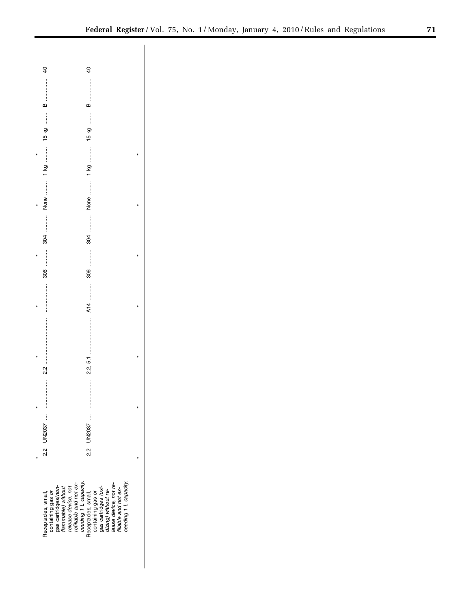| $\overline{a}$      | $\overline{a}$                                                                                                                                                                                                                                            |  |
|---------------------|-----------------------------------------------------------------------------------------------------------------------------------------------------------------------------------------------------------------------------------------------------------|--|
|                     |                                                                                                                                                                                                                                                           |  |
|                     |                                                                                                                                                                                                                                                           |  |
|                     |                                                                                                                                                                                                                                                           |  |
|                     |                                                                                                                                                                                                                                                           |  |
|                     |                                                                                                                                                                                                                                                           |  |
|                     |                                                                                                                                                                                                                                                           |  |
|                     |                                                                                                                                                                                                                                                           |  |
|                     |                                                                                                                                                                                                                                                           |  |
|                     |                                                                                                                                                                                                                                                           |  |
|                     |                                                                                                                                                                                                                                                           |  |
|                     | A14                                                                                                                                                                                                                                                       |  |
|                     |                                                                                                                                                                                                                                                           |  |
|                     |                                                                                                                                                                                                                                                           |  |
|                     |                                                                                                                                                                                                                                                           |  |
|                     |                                                                                                                                                                                                                                                           |  |
|                     |                                                                                                                                                                                                                                                           |  |
|                     |                                                                                                                                                                                                                                                           |  |
|                     |                                                                                                                                                                                                                                                           |  |
|                     |                                                                                                                                                                                                                                                           |  |
|                     |                                                                                                                                                                                                                                                           |  |
| Receptacles, small, | containing gas or<br>gas cartidges<br>from the match of the match of the reading and not ex-<br>refliable and not ex-<br>ceeding 1 L capacity.<br>Receptades, small,<br>gas cartidges (oxi-<br>gas cartidges (oxi-<br>dizing) without re-<br>dizape devic |  |
|                     |                                                                                                                                                                                                                                                           |  |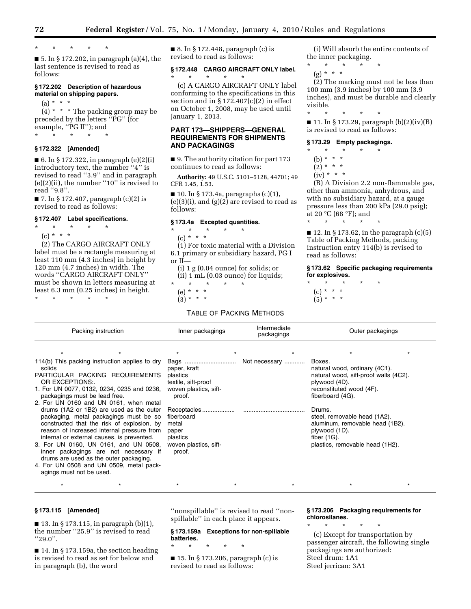\* \* \* \* \*

 $\blacksquare$  5. In § 172.202, in paragraph (a)(4), the last sentence is revised to read as follows:

#### **§ 172.202 Description of hazardous material on shipping papers.**

 $(a) * * * *$ 

 $(4)$  \* \* \* The packing group may be preceded by the letters ''PG'' (for example, "PG II"); and \* \* \* \* \*

# **§ 172.322 [Amended]**

 $\blacksquare$  6. In § 172.322, in paragraph  $(e)(2)(i)$ introductory text, the number ''4'' is revised to read ''3.9'' and in paragraph  $(e)(2)(ii)$ , the number "10" is revised to read ''9.8''.

■ 7. In § 172.407, paragraph (c)(2) is revised to read as follows:

### **§ 172.407 Label specifications.**

- \* \* \* \* \*
- $(c) * * * *$

(2) The CARGO AIRCRAFT ONLY label must be a rectangle measuring at least 110 mm (4.3 inches) in height by 120 mm (4.7 inches) in width. The words ''CARGO AIRCRAFT ONLY'' must be shown in letters measuring at least 6.3 mm (0.25 inches) in height. \* \* \* \* \*

■ 8. In § 172.448, paragraph (c) is revised to read as follows:

\* \* \* \* \*

# **§ 172.448 CARGO AIRCRAFT ONLY label.**

(c) A CARGO AIRCRAFT ONLY label conforming to the specifications in this section and in  $\S 172.407(c)(2)$  in effect on October 1, 2008, may be used until January 1, 2013.

# **PART 173—SHIPPERS—GENERAL REQUIREMENTS FOR SHIPMENTS AND PACKAGINGS**

■ 9. The authority citation for part 173 continues to read as follows:

CFR 1.45, 1.53.

**Authority:** 49 U.S.C. 5101–5128, 44701; 49

 $\blacksquare$  10. In § 173.4a, paragraphs (c)(1),

 $(e)(3)(i)$ , and  $(g)(2)$  are revised to read as

#### **§ 173.4a Excepted quantities.**  \* \* \* \* \*

 $(c) * * * *$ 

follows:

(1) For toxic material with a Division 6.1 primary or subsidiary hazard, PG I or II—

- (i) 1 g (0.04 ounce) for solids; or (ii) 1 mL (0.03 ounce) for liquids;
- \* \* \* \* \*
	- (e) \* \* \*
	- (3) \* \* \*

proof.

# TABLE OF PACKING METHODS

(i) Will absorb the entire contents of the inner packaging.

\* \* \* \* \*  $(g) * * * *$ 

(2) The marking must not be less than 100 mm (3.9 inches) by 100 mm (3.9 inches), and must be durable and clearly visible.

\* \* \* \* \* ■ 11. In § 173.29, paragraph (b)(2)(iv)(B) is revised to read as follows:

### **§ 173.29 Empty packagings.**

- \* \* \* \* \*
	- (b) \* \* \*
	- $(2) * * * *$
	- $(iv) * * * *$

(B) A Division 2.2 non-flammable gas, other than ammonia, anhydrous, and with no subsidiary hazard, at a gauge pressure less than 200 kPa (29.0 psig); at 20 °C (68 °F); and \* \* \* \* \*

 $\blacksquare$  12. In § 173.62, in the paragraph (c)(5) Table of Packing Methods, packing instruction entry 114(b) is revised to read as follows:

**§ 173.62 Specific packaging requirements for explosives.** 

\* \* \* \* \*  $(c) * * * *$  $(5) * * * *$ 

|                                                           | Packing instruction                                                                                                                                                                                                                                                   | Inner packagings                                                                           | Intermediate<br>packagings | Outer packagings                                                                                                                                  |
|-----------------------------------------------------------|-----------------------------------------------------------------------------------------------------------------------------------------------------------------------------------------------------------------------------------------------------------------------|--------------------------------------------------------------------------------------------|----------------------------|---------------------------------------------------------------------------------------------------------------------------------------------------|
|                                                           |                                                                                                                                                                                                                                                                       |                                                                                            |                            |                                                                                                                                                   |
| solids<br>OR EXCEPTIONS:<br>packagings must be lead free. | 114(b) This packing instruction applies to dry<br>PARTICULAR PACKING REQUIREMENTS<br>1. For UN 0077, 0132, 0234, 0235 and 0236,<br>2. For UN 0160 and UN 0161, when metal                                                                                             | Bags<br>paper, kraft<br>plastics<br>textile, sift-proof<br>woven plastics, sift-<br>proof. | Not necessary              | Boxes.<br>natural wood, ordinary (4C1).<br>natural wood, sift-proof walls (4C2).<br>plywood (4D).<br>reconstituted wood (4F).<br>fiberboard (4G). |
|                                                           | drums (1A2 or 1B2) are used as the outer<br>packaging, metal packagings must be so<br>constructed that the risk of explosion, by<br>reason of increased internal pressure from<br>internal or external causes, is prevented.<br>3. For UN 0160, UN 0161, and UN 0508, | Receptacles<br>fiberboard<br>metal<br>paper<br>plastics<br>woven plastics, sift-           |                            | Drums.<br>steel, removable head (1A2).<br>aluminum, removable head (1B2).<br>plywood (1D).<br>fiber $(1G)$ .<br>plastics, removable head (1H2).   |

- 3. For UN 0160, UN 0161, and UN 0508, inner packagings are not necessary if drums are used as the outer packaging.
- 4. For UN 0508 and UN 0509, metal packagings must not be used.

# **§ 173.115 [Amended]**

 $\blacksquare$  13. In § 173.115, in paragraph (b)(1), the number ''25.9'' is revised to read ''29.0''.

■ 14. In § 173.159a, the section heading is revised to read as set for below and in paragraph (b), the word

''nonspillable'' is revised to read ''nonspillable'' in each place it appears.

\* \* \* \* \* \* \* \* \* \* \* \* \* \* \*

**§ 173.159a Exceptions for non-spillable batteries.** 

\* \* \* \* \*

 $\blacksquare$  15. In § 173.206, paragraph (c) is revised to read as follows:

# **§ 173.206 Packaging requirements for chlorosilanes.**

\* \* \* \* \* (c) Except for transportation by passenger aircraft, the following single packagings are authorized: Steel drum: 1A1 Steel jerrican: 3A1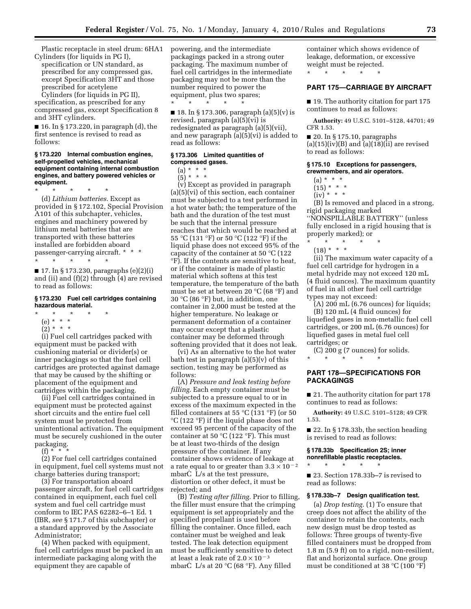Plastic receptacle in steel drum: 6HA1 Cylinders (for liquids in PG I),

specification or UN standard, as prescribed for any compressed gas, except Specification 3HT and those prescribed for acetylene

Cylinders (for liquids in PG II), specification, as prescribed for any compressed gas, except Specification 8 and 3HT cylinders.

■ 16. In § 173.220, in paragraph (d), the first sentence is revised to read as follows:

# **§ 173.220 Internal combustion engines, self-propelled vehicles, mechanical equipment containing internal combustion engines, and battery powered vehicles or equipment.**

\* \* \* \* \* (d) *Lithium batteries.* Except as provided in § 172.102, Special Provision A101 of this subchapter, vehicles, engines and machinery powered by lithium metal batteries that are transported with these batteries installed are forbidden aboard passenger-carrying aircraft. \* \* \* \* \* \* \* \*

■ 17. In § 173.230, paragraphs (e)(2)(i) and (ii) and  $(f)(2)$  through  $(4)$  are revised to read as follows:

# **§ 173.230 Fuel cell cartridges containing hazardous material.**

- \* \* \* \* \*
- (e) \* \* \*
- $(2) * * * *$

(i) Fuel cell cartridges packed with equipment must be packed with cushioning material or divider(s) or inner packagings so that the fuel cell cartridges are protected against damage that may be caused by the shifting or placement of the equipment and cartridges within the packaging.

(ii) Fuel cell cartridges contained in equipment must be protected against short circuits and the entire fuel cell system must be protected from unintentional activation. The equipment must be securely cushioned in the outer packaging.

 $(f) *$ 

(2) For fuel cell cartridges contained in equipment, fuel cell systems must not charge batteries during transport;

(3) For transportation aboard passenger aircraft, for fuel cell cartridges contained in equipment, each fuel cell system and fuel cell cartridge must conform to IEC PAS 62282–6–1 Ed. 1 (IBR, *see* § 171.7 of this subchapter) or a standard approved by the Associate Administrator;

(4) When packed with equipment, fuel cell cartridges must be packed in an intermediate packaging along with the equipment they are capable of

powering, and the intermediate packagings packed in a strong outer packaging. The maximum number of fuel cell cartridges in the intermediate packaging may not be more than the number required to power the equipment, plus two spares; \* \* \* \* \*

■ 18. In § 173.306, paragraph  $(a)(5)(v)$  is revised, paragraph (a)(5)(vi) is redesignated as paragraph (a)(5)(vii), and new paragraph (a)(5)(vi) is added to read as follows:

#### **§ 173.306 Limited quantities of compressed gases.**

 $(a) * * * *$ 

 $(5) * * * *$ 

(v) Except as provided in paragraph  $(a)(5)(vi)$  of this section, each container must be subjected to a test performed in a hot water bath; the temperature of the bath and the duration of the test must be such that the internal pressure reaches that which would be reached at 55 °C (131 °F) or 50 °C (122 °F) if the liquid phase does not exceed 95% of the capacity of the container at 50 °C (122 °F). If the contents are sensitive to heat, or if the container is made of plastic material which softens at this test temperature, the temperature of the bath must be set at between 20 °C (68 °F) and 30 °C (86 °F) but, in addition, one container in 2,000 must be tested at the higher temperature. No leakage or permanent deformation of a container may occur except that a plastic container may be deformed through softening provided that it does not leak.

(vi) As an alternative to the hot water bath test in paragraph  $(a)(5)(v)$  of this section, testing may be performed as follows:

(A) *Pressure and leak testing before filling.* Each empty container must be subjected to a pressure equal to or in excess of the maximum expected in the filled containers at 55  $\mathrm{C}(131 \mathrm{~}^\circ F)$  (or 50 °C (122 °F) if the liquid phase does not exceed 95 percent of the capacity of the container at 50  $\mathrm{C}(122 \mathrm{~}^{\circ}\mathrm{F})$ . This must be at least two-thirds of the design pressure of the container. If any container shows evidence of leakage at a rate equal to or greater than  $3.3 \times 10^{-2}$ mbarC L/s at the test pressure, distortion or other defect, it must be rejected; and

(B) *Testing after filling.* Prior to filling, the filler must ensure that the crimping equipment is set appropriately and the specified propellant is used before filling the container. Once filled, each container must be weighed and leak tested. The leak detection equipment must be sufficiently sensitive to detect at least a leak rate of  $2.0 \times 10^{-3}$ mbarC L/s at 20  $\mathrm{C}$  (68  $\mathrm{F}$ ). Any filled

container which shows evidence of leakage, deformation, or excessive weight must be rejected.

\* \* \* \* \*

# **PART 175—CARRIAGE BY AIRCRAFT**

■ 19. The authority citation for part 175 continues to read as follows:

**Authority:** 49 U.S.C. 5101–5128, 44701; 49 CFR 1.53.

 $\blacksquare$  20. In § 175.10, paragraphs (a)(15)(iv)(B) and  $\overline{a}$ (a)(18)(ii) are revised to read as follows:

# **§ 175.10 Exceptions for passengers, crewmembers, and air operators.**

- (a) \* \* \*
- $(15) * * * *$
- $(iv) * * * *$

(B) Is removed and placed in a strong, rigid packaging marked ''NONSPILLABLE BATTERY'' (unless fully enclosed in a rigid housing that is properly marked); or

\* \* \* \* \*

 $(18) * * * *$ 

(ii) The maximum water capacity of a fuel cell cartridge for hydrogen in a metal hydride may not exceed 120 mL (4 fluid ounces). The maximum quantity of fuel in all other fuel cell cartridge types may not exceed:

 $(A)$  200 mL (6.76 ounces) for liquids;

(B) 120 mL (4 fluid ounces) for liquefied gases in non-metallic fuel cell cartridges, or 200 mL (6.76 ounces) for liquefied gases in metal fuel cell cartridges; or

(C) 200 g (7 ounces) for solids.

# \* \* \* \* \*

# **PART 178—SPECIFICATIONS FOR PACKAGINGS**

■ 21. The authority citation for part 178 continues to read as follows:

**Authority:** 49 U.S.C. 5101–5128; 49 CFR 1.53.

■ 22. In § 178.33b, the section heading is revised to read as follows:

**§ 178.33b Specification 2S; inner nonrefillable plastic receptacles.** 

\* \* \* \* \*

■ 23. Section 178.33b-7 is revised to read as follows:

# **§ 178.33b–7 Design qualification test.**

(a) *Drop testing.* (1) To ensure that creep does not affect the ability of the container to retain the contents, each new design must be drop tested as follows: Three groups of twenty-five filled containers must be dropped from 1.8 m (5.9 ft) on to a rigid, non-resilient, flat and horizontal surface. One group must be conditioned at 38 °C (100 °F)